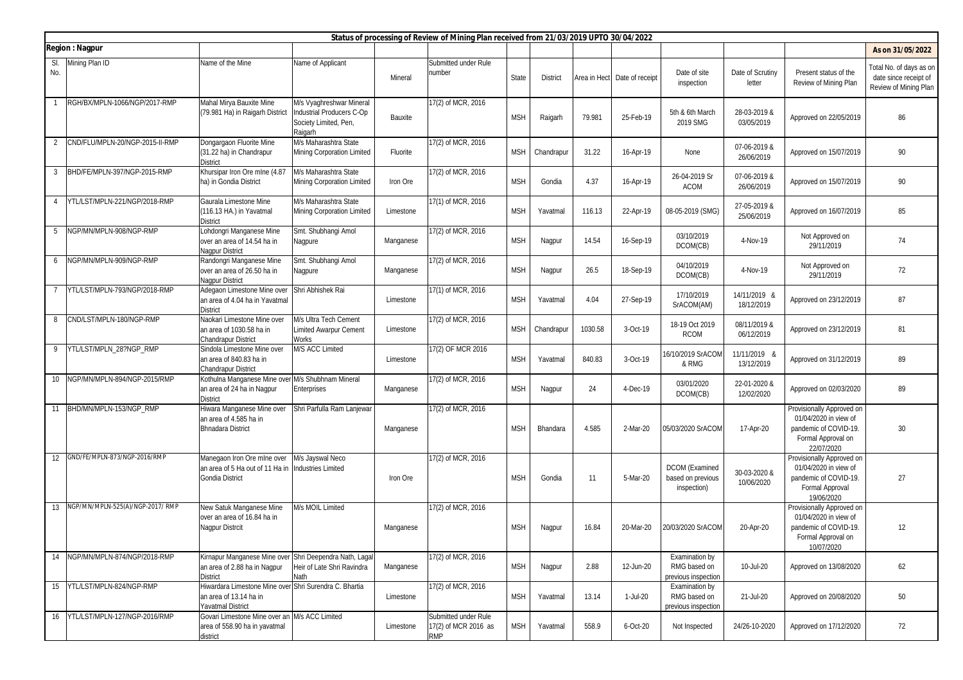|                |                                 |                                                                                                              |                                                                                           |           | Status of processing of Review of Mining Plan received from 21/03/2019 UPTO 30/04/2022 |            |                 |         |                              |                                                       |                            |                                                                                                                 |                                                                           |
|----------------|---------------------------------|--------------------------------------------------------------------------------------------------------------|-------------------------------------------------------------------------------------------|-----------|----------------------------------------------------------------------------------------|------------|-----------------|---------|------------------------------|-------------------------------------------------------|----------------------------|-----------------------------------------------------------------------------------------------------------------|---------------------------------------------------------------------------|
|                | <b>Region: Nagpur</b>           |                                                                                                              |                                                                                           |           |                                                                                        |            |                 |         |                              |                                                       |                            |                                                                                                                 | As on 31/05/2022                                                          |
| SI.<br>No.     | Mining Plan ID                  | Name of the Mine                                                                                             | Name of Applicant                                                                         | Mineral   | Submitted under Rule<br>number                                                         | State      | <b>District</b> |         | Area in Hect Date of receipt | Date of site<br>inspection                            | Date of Scrutiny<br>letter | Present status of the<br>Review of Mining Plan                                                                  | Total No. of days as on<br>date since receipt of<br>Review of Mining Plan |
|                | RGH/BX/MPLN-1066/NGP/2017-RMP   | Mahal Mirya Bauxite Mine<br>(79.981 Ha) in Raigarh District                                                  | M/s Vyaghreshwar Mineral<br>Industrial Producers C-Op<br>Society Limited, Pen,<br>Raigarh | Bauxite   | 17(2) of MCR, 2016                                                                     | <b>MSH</b> | Raigarh         | 79.981  | 25-Feb-19                    | 5th & 6th March<br>2019 SMG                           | 28-03-2019 &<br>03/05/2019 | Approved on 22/05/2019                                                                                          | 86                                                                        |
| 2              | CND/FLU/MPLN-20/NGP-2015-II-RMP | Dongargaon Fluorite Mine<br>(31.22 ha) in Chandrapur<br><b>District</b>                                      | M/s Maharashtra State<br><b>Mining Corporation Limited</b>                                | Fluorite  | 17(2) of MCR, 2016                                                                     | <b>MSH</b> | Chandrapur      | 31.22   | 16-Apr-19                    | None                                                  | 07-06-2019 &<br>26/06/2019 | Approved on 15/07/2019                                                                                          | 90                                                                        |
| 3              | BHD/FE/MPLN-397/NGP-2015-RMP    | Khursipar Iron Ore mlne (4.87<br>ha) in Gondia District                                                      | M/s Maharashtra State<br><b>Mining Corporation Limited</b>                                | Iron Ore  | 17(2) of MCR, 2016                                                                     | <b>MSH</b> | Gondia          | 4.37    | 16-Apr-19                    | 26-04-2019 Sr<br>ACOM                                 | 07-06-2019 &<br>26/06/2019 | Approved on 15/07/2019                                                                                          | 90                                                                        |
| $\overline{4}$ | YTL/LST/MPLN-221/NGP/2018-RMP   | Gaurala Limestone Mine<br>(116.13 HA.) in Yavatmal<br><b>District</b>                                        | M/s Maharashtra State<br><b>Mining Corporation Limited</b>                                | Limestone | 17(1) of MCR, 2016                                                                     | <b>MSH</b> | Yavatmal        | 116.13  | 22-Apr-19                    | 08-05-2019 (SMG)                                      | 27-05-2019 &<br>25/06/2019 | Approved on 16/07/2019                                                                                          | 85                                                                        |
| - 5            | NGP/MN/MPLN-908/NGP-RMP         | Lohdongri Manganese Mine<br>over an area of 14.54 ha in<br><b>Nagpur District</b>                            | Smt. Shubhangi Amol<br>Nagpure                                                            | Manganese | 17(2) of MCR, 2016                                                                     | <b>MSH</b> | Nagpur          | 14.54   | 16-Sep-19                    | 03/10/2019<br>DCOM(CB)                                | 4-Nov-19                   | Not Approved on<br>29/11/2019                                                                                   | 74                                                                        |
| 6              | NGP/MN/MPLN-909/NGP-RMP         | Randongri Manganese Mine<br>over an area of 26.50 ha in<br><b>Nagpur District</b>                            | Smt. Shubhangi Amol<br>Nagpure                                                            | Manganese | 17(2) of MCR, 2016                                                                     | <b>MSH</b> | Nagpur          | 26.5    | 18-Sep-19                    | 04/10/2019<br>DCOM(CB)                                | 4-Nov-19                   | Not Approved on<br>29/11/2019                                                                                   | 72                                                                        |
| 7              | YTL/LST/MPLN-793/NGP/2018-RMP   | Adegaon Limestone Mine over<br>an area of 4.04 ha in Yavatmal<br><b>District</b>                             | Shri Abhishek Rai                                                                         | Limestone | 17(1) of MCR. 2016                                                                     | <b>MSH</b> | Yavatmal        | 4.04    | 27-Sep-19                    | 17/10/2019<br>SrACOM(AM)                              | 14/11/2019 &<br>18/12/2019 | Approved on 23/12/2019                                                                                          | 87                                                                        |
| 8              | CND/LST/MPLN-180/NGP-RMP        | Naokari Limestone Mine over<br>an area of 1030.58 ha in<br><b>Chandrapur District</b>                        | M/s Ultra Tech Cement<br><b>Limited Awarpur Cement</b><br><b>Works</b>                    | Limestone | 17(2) of MCR, 2016                                                                     | <b>MSH</b> | Chandrapur      | 1030.58 | 3-Oct-19                     | 18-19 Oct 2019<br><b>RCOM</b>                         | 08/11/2019 &<br>06/12/2019 | Approved on 23/12/2019                                                                                          | 81                                                                        |
| 9              | YTL/LST/MPLN_28?NGP_RMP         | Sindola Limestone Mine over<br>an area of 840.83 ha in<br><b>Chandrapur District</b>                         | M/S ACC Limited                                                                           | Limestone | 17(2) OF MCR 2016                                                                      | <b>MSH</b> | Yavatmal        | 840.83  | 3-Oct-19                     | 16/10/2019 SrACOM<br>& RMG                            | 11/11/2019 8<br>13/12/2019 | Approved on 31/12/2019                                                                                          | 89                                                                        |
|                | 10 NGP/MN/MPLN-894/NGP-2015/RMP | Kothulna Manganese Mine over<br>an area of 24 ha in Nagpur<br><b>District</b>                                | M/s Shubhnam Mineral<br>Enterprises                                                       | Manganese | 17(2) of MCR, 2016                                                                     | <b>MSH</b> | Nagpur          | 24      | 4-Dec-19                     | 03/01/2020<br>DCOM(CB)                                | 22-01-2020 &<br>12/02/2020 | Approved on 02/03/2020                                                                                          | 89                                                                        |
| 11             | BHD/MN/MPLN-153/NGP_RMP         | Hiwara Manganese Mine over<br>an area of 4.585 ha in<br><b>Bhnadara District</b>                             | Shri Parfulla Ram Lanjewar                                                                | Manganese | 17(2) of MCR, 2016                                                                     | <b>MSH</b> | Bhandara        | 4.585   | 2-Mar-20                     | 05/03/2020 SrACOM                                     | 17-Apr-20                  | Provisionally Approved on<br>01/04/2020 in view of<br>pandemic of COVID-19.<br>Formal Approval on<br>22/07/2020 | 30                                                                        |
| 12             | GND/FE/MPLN-873/NGP-2016/RMP    | Manegaon Iron Ore mine over<br>an area of 5 Ha out of 11 Ha in<br><b>Gondia District</b>                     | M/s Jayswal Neco<br><b>Industries Limited</b>                                             | Iron Ore  | 17(2) of MCR, 2016                                                                     | <b>MSH</b> | Gondia          | 11      | 5-Mar-20                     | DCOM (Examined<br>based on previous<br>inspection)    | 30-03-2020 &<br>10/06/2020 | Provisionally Approved on<br>01/04/2020 in view of<br>pandemic of COVID-19.<br>Formal Approval<br>19/06/2020    | 27                                                                        |
| 13             | NGP/MN/MPLN-525(A)/NGP-2017/RMP | New Satuk Manganese Mine<br>over an area of 16.84 ha in<br>Nagpur Distrcit                                   | M/s MOIL Limited                                                                          | Manganese | 17(2) of MCR, 2016                                                                     | <b>MSH</b> | Nagpur          | 16.84   | 20-Mar-20                    | 20/03/2020 SrACOM                                     | 20-Apr-20                  | Provisionally Approved on<br>01/04/2020 in view of<br>pandemic of COVID-19.<br>Formal Approval on<br>10/07/2020 | 12                                                                        |
| 14             | NGP/MN/MPLN-874/NGP/2018-RMP    | Kirnapur Manganese Mine over Shri Deependra Nath, Lagal<br>an area of 2.88 ha in Nagpur<br><b>District</b>   | Heir of Late Shri Ravindra<br>Nath                                                        | Manganese | 17(2) of MCR, 2016                                                                     | <b>MSH</b> | Nagpur          | 2.88    | 12-Jun-20                    | Examination by<br>RMG based on<br>previous inspection | 10-Jul-20                  | Approved on 13/08/2020                                                                                          | 62                                                                        |
|                | 15 YTL/LST/MPLN-824/NGP-RMP     | Hiwardara Limestone Mine over Shri Surendra C. Bhartia<br>an area of 13.14 ha in<br><b>Yavatmal District</b> |                                                                                           | Limestone | 17(2) of MCR, 2016                                                                     | <b>MSH</b> | Yavatmal        | 13.14   | 1-Jul-20                     | Examination by<br>RMG based on<br>previous inspection | 21-Jul-20                  | Approved on 20/08/2020                                                                                          | 50                                                                        |
| 16             | YTL/LST/MPLN-127/NGP-2016/RMP   | Govari Limestone Mine over an M/s ACC Limited<br>area of 558.90 ha in yavatmal<br>district                   |                                                                                           | Limestone | Submitted under Rule<br>17(2) of MCR 2016 as<br>rmp                                    | <b>MSH</b> | Yavatmal        | 558.9   | 6-Oct-20                     | Not Inspected                                         | 24/26-10-2020              | Approved on 17/12/2020                                                                                          | 72                                                                        |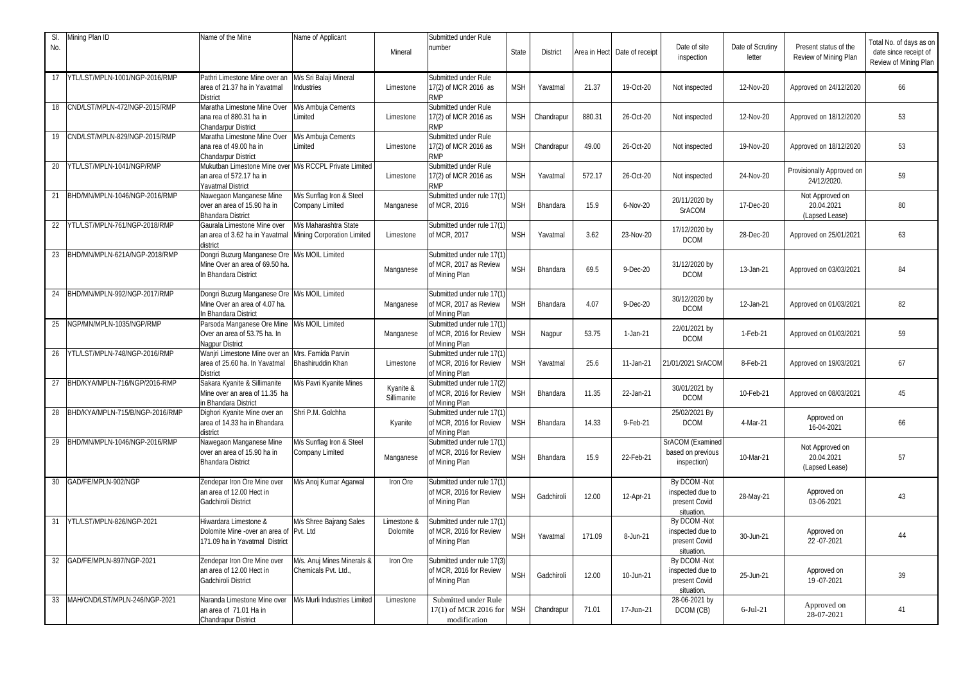| SI.<br>No. | Mining Plan ID                   | Name of the Mine                                                                                              | Name of Applicant                                  | Mineral                  | Submitted under Rule<br>number                                          | <b>State</b> | <b>District</b> | Area in Hect | Date of receipt | Date of site<br>inspection                                      | Date of Scrutiny<br>letter | Present status of the<br>Review of Mining Plan  | Total No. of days as on<br>date since receipt of<br>Review of Mining Plan |
|------------|----------------------------------|---------------------------------------------------------------------------------------------------------------|----------------------------------------------------|--------------------------|-------------------------------------------------------------------------|--------------|-----------------|--------------|-----------------|-----------------------------------------------------------------|----------------------------|-------------------------------------------------|---------------------------------------------------------------------------|
| 17         | YTL/LST/MPLN-1001/NGP-2016/RMP   | Pathri Limestone Mine over an<br>area of 21.37 ha in Yavatmal<br><b>District</b>                              | M/s Sri Balaji Mineral<br><b>Industries</b>        | Limestone                | Submitted under Rule<br>17(2) of MCR 2016 as<br>RMP                     | <b>MSH</b>   | Yavatmal        | 21.37        | 19-Oct-20       | Not inspected                                                   | 12-Nov-20                  | Approved on 24/12/2020                          | 66                                                                        |
| 18         | CND/LST/MPLN-472/NGP-2015/RMP    | Maratha Limestone Mine Over<br>ana rea of 880.31 ha in<br>Chandarpur District                                 | M/s Ambuja Cements<br>Limited                      | Limestone                | Submitted under Rule<br>17(2) of MCR 2016 as<br>RMP                     | <b>MSH</b>   | Chandrapur      | 880.31       | 26-Oct-20       | Not inspected                                                   | 12-Nov-20                  | Approved on 18/12/2020                          | 53                                                                        |
| 19         | CND/LST/MPLN-829/NGP-2015/RMP    | Maratha Limestone Mine Over<br>ana rea of 49.00 ha in<br>Chandarpur District                                  | M/s Ambuja Cements<br>Limited                      | Limestone                | Submitted under Rule<br>17(2) of MCR 2016 as<br>RMP                     | <b>MSH</b>   | Chandrapur      | 49.00        | 26-Oct-20       | Not inspected                                                   | 19-Nov-20                  | Approved on 18/12/2020                          | 53                                                                        |
| 20         | YTL/LST/MPLN-1041/NGP/RMP        | Mukutban Limestone Mine over M/s RCCPL Private Limited<br>an area of 572.17 ha in<br><b>Yavatmal District</b> |                                                    | Limestone                | Submitted under Rule<br>17(2) of MCR 2016 as<br>RMP                     | <b>MSH</b>   | Yavatmal        | 572.17       | 26-Oct-20       | Not inspected                                                   | 24-Nov-20                  | Provisionally Approved on<br>24/12/2020.        | 59                                                                        |
| 21         | BHD/MN/MPLN-1046/NGP-2016/RMP    | Nawegaon Manganese Mine<br>over an area of 15.90 ha in<br><b>Bhandara District</b>                            | M/s Sunflag Iron & Steel<br>Company Limited        | Manganese                | Submitted under rule 17(1)<br>of MCR, 2016                              | <b>MSH</b>   | Bhandara        | 15.9         | 6-Nov-20        | 20/11/2020 by<br><b>SrACOM</b>                                  | 17-Dec-20                  | Not Approved on<br>20.04.2021<br>(Lapsed Lease) | 80                                                                        |
| 22         | YTL/LST/MPLN-761/NGP-2018/RMP    | Gaurala Limestone Mine over<br>an area of 3.62 ha in Yavatmal Mining Corporation Limited<br>district          | M/s Maharashtra State                              | Limestone                | Submitted under rule 17(1)<br>of MCR, 2017                              | <b>MSH</b>   | Yavatmal        | 3.62         | 23-Nov-20       | 17/12/2020 by<br><b>DCOM</b>                                    | 28-Dec-20                  | Approved on 25/01/2021                          | 63                                                                        |
| 23         | BHD/MN/MPLN-621A/NGP-2018/RMP    | Dongri Buzurg Manganese Ore<br>Mine Over an area of 69.50 ha.<br>In Bhandara District                         | M/s MOIL Limited                                   | Manganese                | Submitted under rule 17(1)<br>of MCR, 2017 as Review<br>of Mining Plan  | <b>MSH</b>   | Bhandara        | 69.5         | 9-Dec-20        | 31/12/2020 by<br><b>DCOM</b>                                    | 13-Jan-21                  | Approved on 03/03/2021                          | 84                                                                        |
| 24         | BHD/MN/MPLN-992/NGP-2017/RMP     | Dongri Buzurg Manganese Ore M/s MOIL Limited<br>Mine Over an area of 4.07 ha.<br>In Bhandara District         |                                                    | Manganese                | Submitted under rule 17(1)<br>of MCR, 2017 as Review<br>of Mining Plan  | <b>MSH</b>   | Bhandara        | 4.07         | $9-Dec-20$      | 30/12/2020 by<br><b>DCOM</b>                                    | 12-Jan-21                  | Approved on 01/03/2021                          | 82                                                                        |
| 25         | NGP/MN/MPLN-1035/NGP/RMP         | Parsoda Manganese Ore Mine<br>Over an area of 53.75 ha. In<br>Nagpur District                                 | M/s MOIL Limited                                   | Manganese                | Submitted under rule 17(1)<br>of MCR, 2016 for Review<br>f Mining Plan  | MSH          | Nagpur          | 53.75        | 1-Jan-21        | 22/01/2021 by<br><b>DCOM</b>                                    | 1-Feb-21                   | Approved on 01/03/2021                          | 59                                                                        |
|            | 26 YTL/LST/MPLN-748/NGP-2016/RMP | Wanjri Limestone Mine over an<br>area of 25.60 ha. In Yavatmal<br><b>District</b>                             | Mrs. Famida Parvin<br>Bhashiruddin Khan            | Limestone                | Submitted under rule 17(1)<br>of MCR, 2016 for Review<br>of Mining Plan | <b>MSH</b>   | Yavatmal        | 25.6         | 11-Jan-21       | 21/01/2021 SrACOM                                               | 8-Feb-21                   | Approved on 19/03/2021                          | 67                                                                        |
| 27         | BHD/KYA/MPLN-716/NGP/2016-RMP    | Sakara Kyanite & Sillimanite<br>Mine over an area of 11.35 ha<br>in Bhandara District                         | M/s Pavri Kyanite Mines                            | Kyanite &<br>Sillimanite | Submitted under rule 17(2)<br>of MCR, 2016 for Review<br>of Mining Plan | <b>MSH</b>   | Bhandara        | 11.35        | 22-Jan-21       | 30/01/2021 by<br><b>DCOM</b>                                    | 10-Feb-21                  | Approved on 08/03/2021                          | 45                                                                        |
| 28         | BHD/KYA/MPLN-715/B/NGP-2016/RMP  | Dighori Kyanite Mine over an<br>area of 14.33 ha in Bhandara<br>district                                      | Shri P.M. Golchha                                  | Kyanite                  | Submitted under rule 17(1<br>of MCR, 2016 for Review<br>of Mining Plan  | <b>MSH</b>   | Bhandara        | 14.33        | 9-Feb-21        | 25/02/2021 By<br><b>DCOM</b>                                    | 4-Mar-21                   | Approved on<br>16-04-2021                       | 66                                                                        |
|            | 29 BHD/MN/MPLN-1046/NGP-2016/RMP | Nawegaon Manganese Mine<br>over an area of 15.90 ha in<br><b>Bhandara District</b>                            | M/s Sunflag Iron & Steel<br>Company Limited        | Manganese                | Submitted under rule 17(1)<br>of MCR, 2016 for Review<br>of Mining Plan | <b>MSH</b>   | Bhandara        | 15.9         | 22-Feb-21       | SrACOM (Examined<br>based on previous<br>inspection)            | 10-Mar-21                  | Not Approved on<br>20.04.2021<br>(Lapsed Lease) | 57                                                                        |
| 30         | GAD/FE/MPLN-902/NGP              | Zendepar Iron Ore Mine over<br>an area of 12.00 Hect in<br>Gadchiroli District                                | M/s Anoj Kumar Agarwal                             | Iron Ore                 | Submitted under rule 17(1)<br>of MCR, 2016 for Review<br>of Mining Plan | <b>MSH</b>   | Gadchiroli      | 12.00        | 12-Apr-21       | By DCOM -Not<br>inspected due to<br>present Covid<br>situation. | 28-May-21                  | Approved on<br>03-06-2021                       | 43                                                                        |
| 31         | YTL/LST/MPLN-826/NGP-2021        | Hiwardara Limestone &<br>Dolomite Mine -over an area of<br>171.09 ha in Yavatmal District                     | M/s Shree Bajrang Sales<br>Pvt. Ltd                | Limestone &<br>Dolomite  | Submitted under rule 17(1)<br>of MCR, 2016 for Review<br>of Mining Plan | <b>MSH</b>   | Yavatmal        | 171.09       | 8-Jun-21        | By DCOM -Not<br>inspected due to<br>present Covid<br>situation. | 30-Jun-21                  | Approved on<br>22 - 07 - 2021                   | 44                                                                        |
| 32         | GAD/FE/MPLN-897/NGP-2021         | Zendepar Iron Ore Mine over<br>an area of 12.00 Hect in<br><b>Gadchiroli District</b>                         | M/s. Anuj Mines Minerals &<br>Chemicals Pvt. Ltd., | Iron Ore                 | Submitted under rule 17(3)<br>of MCR, 2016 for Review<br>of Mining Plan | <b>MSH</b>   | Gadchiroli      | 12.00        | 10-Jun-21       | By DCOM -Not<br>inspected due to<br>present Covid<br>situation. | 25-Jun-21                  | Approved on<br>19 - 07 - 2021                   | 39                                                                        |
| 33         | MAH/CND/LST/MPLN-246/NGP-2021    | Naranda Limestone Mine over<br>an area of 71.01 Ha in<br>Chandrapur District                                  | M/s Murli Industries Limited                       | Limestone                | Submitted under Rule<br>17(1) of MCR 2016 for<br>modification           | <b>MSH</b>   | Chandrapur      | 71.01        | 17-Jun-21       | 28-06-2021 by<br>DCOM (CB)                                      | $6$ -Jul-21                | Approved on<br>28-07-2021                       | 41                                                                        |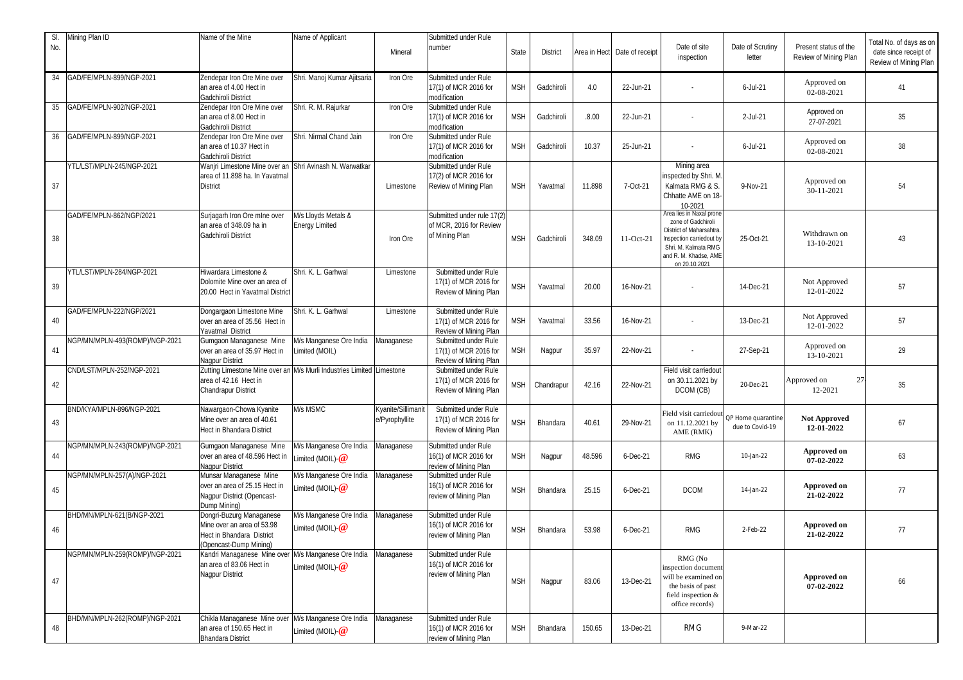| SI. | Mining Plan ID                 | Name of the Mine                                                                                                             | Name of Applicant                                  |                                      | Submitted under Rule                                                    |            |                 |        |                              |                                                                                                                                                                               |                                       |                                                | Total No. of days as on                        |
|-----|--------------------------------|------------------------------------------------------------------------------------------------------------------------------|----------------------------------------------------|--------------------------------------|-------------------------------------------------------------------------|------------|-----------------|--------|------------------------------|-------------------------------------------------------------------------------------------------------------------------------------------------------------------------------|---------------------------------------|------------------------------------------------|------------------------------------------------|
| No. |                                |                                                                                                                              |                                                    | Mineral                              | number                                                                  | State      | <b>District</b> |        | Area in Hect Date of receipt | Date of site<br>inspection                                                                                                                                                    | Date of Scrutiny<br>letter            | Present status of the<br>Review of Mining Plan | date since receipt of<br>Review of Mining Plan |
| 34  | GAD/FE/MPLN-899/NGP-2021       | Zendepar Iron Ore Mine over<br>an area of 4.00 Hect in<br>Gadchiroli District                                                | Shri. Manoj Kumar Ajitsaria                        | Iron Ore                             | Submitted under Rule<br>17(1) of MCR 2016 for<br>modification           | <b>MSH</b> | Gadchiroli      | 4.0    | 22-Jun-21                    |                                                                                                                                                                               | $6$ -Jul-21                           | Approved on<br>02-08-2021                      | 41                                             |
| 35  | GAD/FE/MPLN-902/NGP-2021       | Zendepar Iron Ore Mine over<br>an area of 8.00 Hect in<br>Gadchiroli District                                                | Shri. R. M. Rajurkar                               | Iron Ore                             | Submitted under Rule<br>17(1) of MCR 2016 for<br>modification           | <b>MSH</b> | Gadchiroli      | .8.00  | 22-Jun-21                    |                                                                                                                                                                               | 2-Jul-21                              | Approved on<br>27-07-2021                      | 35                                             |
| 36  | GAD/FE/MPLN-899/NGP-2021       | Zendepar Iron Ore Mine over<br>an area of 10.37 Hect in<br>Gadchiroli District                                               | Shri. Nirmal Chand Jain                            | Iron Ore                             | Submitted under Rule<br>17(1) of MCR 2016 for<br>modification           | <b>MSH</b> | Gadchiroli      | 10.37  | 25-Jun-21                    |                                                                                                                                                                               | $6$ -Jul-21                           | Approved on<br>02-08-2021                      | 38                                             |
| 37  | YTL/LST/MPLN-245/NGP-2021      | Wanjri Limestone Mine over an Shri Avinash N. Warwatkar<br>area of 11.898 ha. In Yavatmal<br><b>District</b>                 |                                                    | Limestone                            | Submitted under Rule<br>17(2) of MCR 2016 for<br>Review of Mining Plan  | <b>MSH</b> | Yavatmal        | 11.898 | 7-Oct-21                     | Mining area<br>nspected by Shri. M.<br>Kalmata RMG & S.<br>Chhatte AME on 18-<br>10-2021                                                                                      | 9-Nov-21                              | Approved on<br>30-11-2021                      | 54                                             |
| 38  | GAD/FE/MPLN-862/NGP/2021       | Surjagarh Iron Ore mlne over<br>an area of 348.09 ha in<br>Gadchiroli District                                               | M/s Lloyds Metals &<br><b>Energy Limited</b>       | Iron Ore                             | Submitted under rule 17(2)<br>of MCR, 2016 for Review<br>of Mining Plan | <b>MSH</b> | Gadchiroli      | 348.09 | 11-Oct-21                    | <b>Area lies in Naxal prone</b><br>zone of Gadchiroli<br>District of Maharsahtra<br>nspection carriedout by<br>Shri. M. Kalmata RMG<br>and R. M. Khadse, AME<br>on 20.10.2021 | 25-Oct-21                             | Withdrawn on<br>13-10-2021                     | 43                                             |
| 39  | YTL/LST/MPLN-284/NGP-2021      | Hiwardara Limestone &<br>Dolomite Mine over an area of<br>20.00 Hect in Yavatmal District                                    | Shri, K. L. Garhwal                                | Limestone                            | Submitted under Rule<br>17(1) of MCR 2016 for<br>Review of Mining Plan  | <b>MSH</b> | Yavatmal        | 20.00  | 16-Nov-21                    |                                                                                                                                                                               | 14-Dec-21                             | Not Approved<br>12-01-2022                     | 57                                             |
| 40  | GAD/FE/MPLN-222/NGP/2021       | Dongargaon Limestone Mine<br>over an area of 35.56 Hect in<br><b>Yavatmal District</b>                                       | Shri. K. L. Garhwal                                | Limestone                            | Submitted under Rule<br>17(1) of MCR 2016 for<br>Review of Mining Plan  | <b>MSH</b> | Yavatmal        | 33.56  | 16-Nov-21                    |                                                                                                                                                                               | 13-Dec-21                             | Not Approved<br>12-01-2022                     | 57                                             |
| 41  | NGP/MN/MPLN-493(ROMP)/NGP-2021 | Gumgaon Managanese Mine<br>over an area of 35.97 Hect in<br><b>Nagpur District</b>                                           | M/s Manganese Ore India<br>Limited (MOIL)          | Managanese                           | Submitted under Rule<br>17(1) of MCR 2016 for<br>Review of Mining Plan  | <b>MSH</b> | Nagpur          | 35.97  | 22-Nov-21                    |                                                                                                                                                                               | 27-Sep-21                             | Approved on<br>13-10-2021                      | 29                                             |
| 42  | CND/LST/MPLN-252/NGP-2021      | Zutting Limestone Mine over an M/s Murli Industries Limited Limestone<br>area of 42.16 Hect in<br><b>Chandrapur District</b> |                                                    |                                      | Submitted under Rule<br>17(1) of MCR 2016 for<br>Review of Mining Plan  | <b>MSH</b> | Chandrapur      | 42.16  | 22-Nov-21                    | Field visit carriedout<br>on 30.11.2021 by<br>DCOM (CB)                                                                                                                       | 20-Dec-21                             | 27<br>Approved on<br>12-2021                   | 35                                             |
| 43  | BND/KYA/MPLN-896/NGP-2021      | Nawargaon-Chowa Kyanite<br>Mine over an area of 40.61<br>Hect in Bhandara District                                           | M/s MSMC                                           | Kyanite/Sillimanit<br>e/Pyrophyllite | Submitted under Rule<br>17(1) of MCR 2016 for<br>Review of Mining Plan  | <b>MSH</b> | Bhandara        | 40.61  | 29-Nov-21                    | ield visit carriedout<br>on 11.12.2021 by<br>AME (RMK)                                                                                                                        | 2P Home quarantine<br>due to Covid-19 | <b>Not Approved</b><br>12-01-2022              | 67                                             |
| 44  | NGP/MN/MPLN-243(ROMP)/NGP-2021 | Gumgaon Managanese Mine<br>over an area of 48.596 Hect in<br><b>Nagpur District</b>                                          | M/s Manganese Ore India<br>Limited (MOIL) $@$      | Managanese                           | Submitted under Rule<br>16(1) of MCR 2016 for<br>review of Mining Plan  | <b>MSH</b> | Nagpur          | 48.596 | 6-Dec-21                     | <b>RMG</b>                                                                                                                                                                    | 10-Jan-22                             | <b>Approved on</b><br>07-02-2022               | 63                                             |
| 45  | NGP/MN/MPLN-257(A)/NGP-2021    | Munsar Managanese Mine<br>over an area of 25.15 Hect in<br>Nagpur District (Opencast-<br>Dump Mining)                        | M/s Manganese Ore India<br>Limited (MOIL) $\omega$ | Managanese                           | Submitted under Rule<br>16(1) of MCR 2016 for<br>review of Mining Plan  | <b>MSH</b> | Bhandara        | 25.15  | $6$ -Dec-21                  | <b>DCOM</b>                                                                                                                                                                   | 14-Jan-22                             | Approved on<br>21-02-2022                      | 77                                             |
| 46  | BHD/MN/MPLN-621(B/NGP-2021     | Dongri-Buzurg Managanese<br>Mine over an area of 53.98<br>Hect in Bhandara District<br>(Opencast-Dump Mining)                | M/s Manganese Ore India<br>Limited (MOIL) $@$      | Managanese                           | Submitted under Rule<br>16(1) of MCR 2016 for<br>review of Mining Plan  | <b>MSH</b> | Bhandara        | 53.98  | $6$ -Dec-21                  | <b>RMG</b>                                                                                                                                                                    | 2-Feb-22                              | Approved on<br>21-02-2022                      | 77                                             |
| 47  | NGP/MN/MPLN-259(ROMP)/NGP-2021 | Kandri Managanese Mine over M/s Manganese Ore India<br>an area of 83.06 Hect in<br><b>Nagpur District</b>                    | Limited (MOIL)- $@$                                | Managanese                           | Submitted under Rule<br>16(1) of MCR 2016 for<br>review of Mining Plan  | <b>MSH</b> | Nagpur          | 83.06  | 13-Dec-21                    | RMG (No<br>inspection document<br>will be examined on<br>the basis of past<br>field inspection &<br>office records)                                                           |                                       | Approved on<br>07-02-2022                      | 66                                             |
| 48  | BHD/MN/MPLN-262(ROMP)/NGP-2021 | Chikla Managanese Mine over<br>an area of 150.65 Hect in<br><b>Bhandara District</b>                                         | M/s Manganese Ore India<br>Limited (MOIL) $@$      | Managanese                           | Submitted under Rule<br>16(1) of MCR 2016 for<br>review of Mining Plan  | <b>MSH</b> | Bhandara        | 150.65 | 13-Dec-21                    | <b>RMG</b>                                                                                                                                                                    | 9-Mar-22                              |                                                |                                                |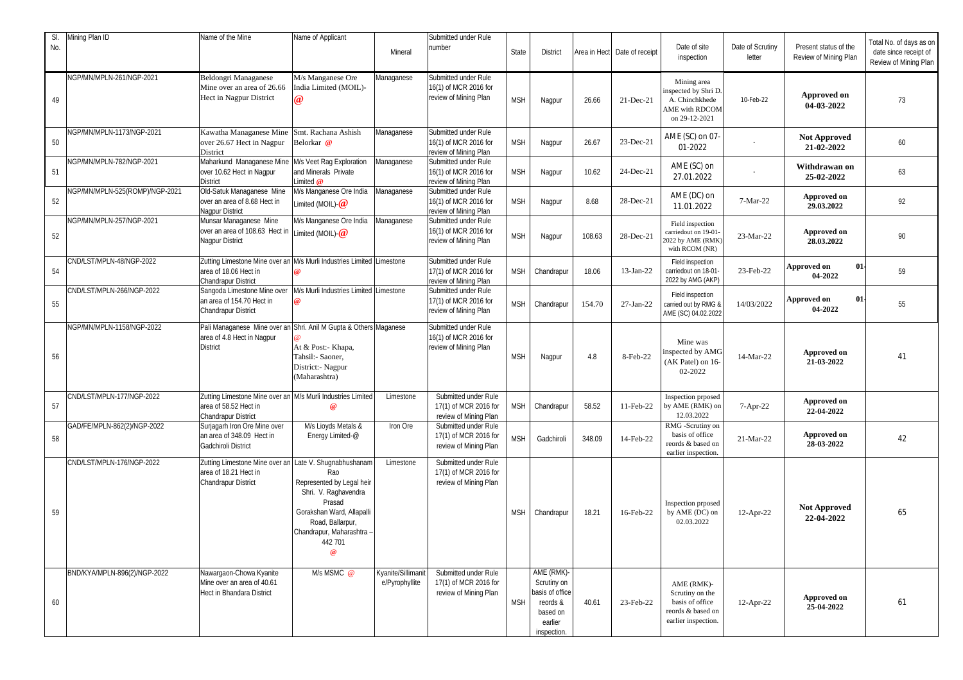| SI.<br>No. | Mining Plan ID                 | Name of the Mine                                                                                                             | Name of Applicant                                                                                                                                                             | Mineral                              | Submitted under Rule<br>number                                         | <b>State</b> | <b>District</b>                                                                                |        | Area in Hect Date of receipt | Date of site<br>inspection                                                                   | Date of Scrutiny<br>letter | Present status of the<br>Review of Mining Plan | Total No. of days as on<br>date since receipt of<br>Review of Mining Plan |
|------------|--------------------------------|------------------------------------------------------------------------------------------------------------------------------|-------------------------------------------------------------------------------------------------------------------------------------------------------------------------------|--------------------------------------|------------------------------------------------------------------------|--------------|------------------------------------------------------------------------------------------------|--------|------------------------------|----------------------------------------------------------------------------------------------|----------------------------|------------------------------------------------|---------------------------------------------------------------------------|
| 49         | NGP/MN/MPLN-261/NGP-2021       | Beldongri Managanese<br>Mine over an area of 26.66<br>Hect in Nagpur District                                                | M/s Manganese Ore<br>India Limited (MOIL)-<br>$\omega$                                                                                                                        | Managanese                           | Submitted under Rule<br>16(1) of MCR 2016 for<br>review of Mining Plan | <b>MSH</b>   | Nagpur                                                                                         | 26.66  | 21-Dec-21                    | Mining area<br>nspected by Shri D.<br>A. Chinchkhede<br>AME with RDCOM<br>on 29-12-2021      | 10-Feb-22                  | Approved on<br>04-03-2022                      | 73                                                                        |
| 50         | NGP/MN/MPLN-1173/NGP-2021      | Kawatha Managanese Mine<br>over 26.67 Hect in Nagpur<br>District                                                             | Smt. Rachana Ashish<br>Belorkar @                                                                                                                                             | Managanese                           | Submitted under Rule<br>16(1) of MCR 2016 for<br>review of Mining Plan | <b>MSH</b>   | Nagpur                                                                                         | 26.67  | 23-Dec-21                    | AME (SC) on 07-<br>01-2022                                                                   |                            | <b>Not Approved</b><br>21-02-2022              | 60                                                                        |
| 51         | NGP/MN/MPLN-782/NGP-2021       | Maharkund Managanese Mine<br>over 10.62 Hect in Nagpur<br><b>District</b>                                                    | M/s Veet Rag Exploration<br>and Minerals Private<br>Limited $@$                                                                                                               | Managanese                           | Submitted under Rule<br>16(1) of MCR 2016 for<br>review of Mining Plan | <b>MSH</b>   | Nagpur                                                                                         | 10.62  | 24-Dec-21                    | AME (SC) on<br>27.01.2022                                                                    |                            | Withdrawan on<br>25-02-2022                    | 63                                                                        |
| 52         | NGP/MN/MPLN-525(ROMP)/NGP-2021 | Old-Satuk Managanese Mine<br>over an area of 8.68 Hect in<br><b>Nagpur District</b>                                          | M/s Manganese Ore India<br>Limited (MOIL) $\omega$                                                                                                                            | Managanese                           | Submitted under Rule<br>16(1) of MCR 2016 for<br>review of Mining Plan | <b>MSH</b>   | Nagpur                                                                                         | 8.68   | 28-Dec-21                    | AME (DC) on<br>11.01.2022                                                                    | 7-Mar-22                   | <b>Approved on</b><br>29.03.2022               | 92                                                                        |
| 52         | NGP/MN/MPLN-257/NGP-2021       | Munsar Managanese Mine<br>over an area of 108.63 Hect in<br><b>Nagpur District</b>                                           | M/s Manganese Ore India<br>Limited (MOIL) $@$                                                                                                                                 | Managanese                           | Submitted under Rule<br>16(1) of MCR 2016 for<br>review of Mining Plan | <b>MSH</b>   | Nagpur                                                                                         | 108.63 | 28-Dec-21                    | Field inspection<br>carriedout on 19-01-<br>2022 by AME (RMK)<br>with RCOM (NR)              | 23-Mar-22                  | <b>Approved on</b><br>28.03.2022               | 90                                                                        |
| 54         | CND/LST/MPLN-48/NGP-2022       | Zutting Limestone Mine over an M/s Murli Industries Limited Limestone<br>area of 18.06 Hect in<br><b>Chandrapur District</b> |                                                                                                                                                                               |                                      | Submitted under Rule<br>17(1) of MCR 2016 for<br>review of Mining Plan | <b>MSH</b>   | Chandrapur                                                                                     | 18.06  | 13-Jan-22                    | Field inspection<br>carriedout on 18-01-<br>2022 by AMG (AKP)                                | 23-Feb-22                  | 01<br><b>Approved on</b><br>04-2022            | 59                                                                        |
| 55         | CND/LST/MPLN-266/NGP-2022      | Sangoda Limestone Mine over<br>an area of 154.70 Hect in<br><b>Chandrapur District</b>                                       | M/s Murli Industries Limited Limestone                                                                                                                                        |                                      | Submitted under Rule<br>17(1) of MCR 2016 for<br>review of Mining Plan | <b>MSH</b>   | Chandrapur                                                                                     | 154.70 | $27-Ian-22$                  | Field inspection<br>carried out by RMG &<br>AME (SC) 04.02.2022                              | 14/03/2022                 | 01<br><b>Approved on</b><br>04-2022            | 55                                                                        |
| 56         | NGP/MN/MPLN-1158/NGP-2022      | Pali Managanese Mine over an Shri. Anil M Gupta & Others Maganese<br>area of 4.8 Hect in Nagpur<br><b>District</b>           | At & Post:- Khapa,<br>Tahsil:- Saoner,<br>District:- Nagpur<br>(Maharashtra)                                                                                                  |                                      | Submitted under Rule<br>16(1) of MCR 2016 for<br>review of Mining Plan | <b>MSH</b>   | Nagpur                                                                                         | 4.8    | 8-Feb-22                     | Mine was<br>inspected by AMG<br>(AK Patel) on 16-<br>02-2022                                 | 14-Mar-22                  | <b>Approved on</b><br>21-03-2022               | 41                                                                        |
| 57         | CND/LST/MPLN-177/NGP-2022      | Zutting Limestone Mine over an M/s Murli Industries Limited<br>area of 58.52 Hect in<br>Chandrapur District                  | $\omega$                                                                                                                                                                      | Limestone                            | Submitted under Rule<br>17(1) of MCR 2016 for<br>review of Mining Plan | <b>MSH</b>   | Chandrapur                                                                                     | 58.52  | 11-Feb-22                    | Inspection prposed<br>by AME (RMK) on<br>12.03.2022                                          | $7 - Apr-22$               | Approved on<br>22-04-2022                      |                                                                           |
| 58         | GAD/FE/MPLN-862(2)/NGP-2022    | Surjagarh Iron Ore Mine over<br>an area of 348.09 Hect in<br>Gadchiroli District                                             | M/s Lioyds Metals &<br>Energy Limited-@                                                                                                                                       | Iron Ore                             | Submitted under Rule<br>17(1) of MCR 2016 for<br>review of Mining Plan | <b>MSH</b>   | Gadchiroli                                                                                     | 348.09 | 14-Feb-22                    | RMG -Scrutiny on<br>basis of office<br>reords & based on<br>earlier inspection.              | 21-Mar-22                  | Approved on<br>28-03-2022                      | 42                                                                        |
| 59         | CND/LST/MPLN-176/NGP-2022      | Zutting Limestone Mine over an Late V. Shugnabhushanam<br>area of 18.21 Hect in<br><b>Chandrapur District</b>                | Rao<br>Represented by Legal heir<br>Shri. V. Raghavendra<br>Prasad<br>Gorakshan Ward, Allapalli<br>Road, Ballarpur,<br>Chandrapur, Maharashtra -<br>442 701<br>$\circledcirc$ | Limestone                            | Submitted under Rule<br>17(1) of MCR 2016 for<br>review of Mining Plan | <b>MSH</b>   | Chandrapur                                                                                     | 18.21  | 16-Feb-22                    | Inspection prposed<br>by AME (DC) on<br>02.03.2022                                           | $12-Apr-22$                | <b>Not Approved</b><br>22-04-2022              | 65                                                                        |
| 60         | BND/KYA/MPLN-896(2)/NGP-2022   | Nawargaon-Chowa Kyanite<br>Mine over an area of 40.61<br><b>Hect in Bhandara District</b>                                    | M/s MSMC @                                                                                                                                                                    | Kyanite/Sillimanit<br>e/Pyrophyllite | Submitted under Rule<br>17(1) of MCR 2016 for<br>review of Mining Plan | <b>MSH</b>   | AME (RMK)-<br>Scrutiny on<br>basis of office<br>reords &<br>based on<br>earlier<br>inspection. | 40.61  | 23-Feb-22                    | AME (RMK)-<br>Scrutiny on the<br>basis of office<br>reords & based on<br>earlier inspection. | $12$ -Apr-22               | Approved on<br>25-04-2022                      | 61                                                                        |